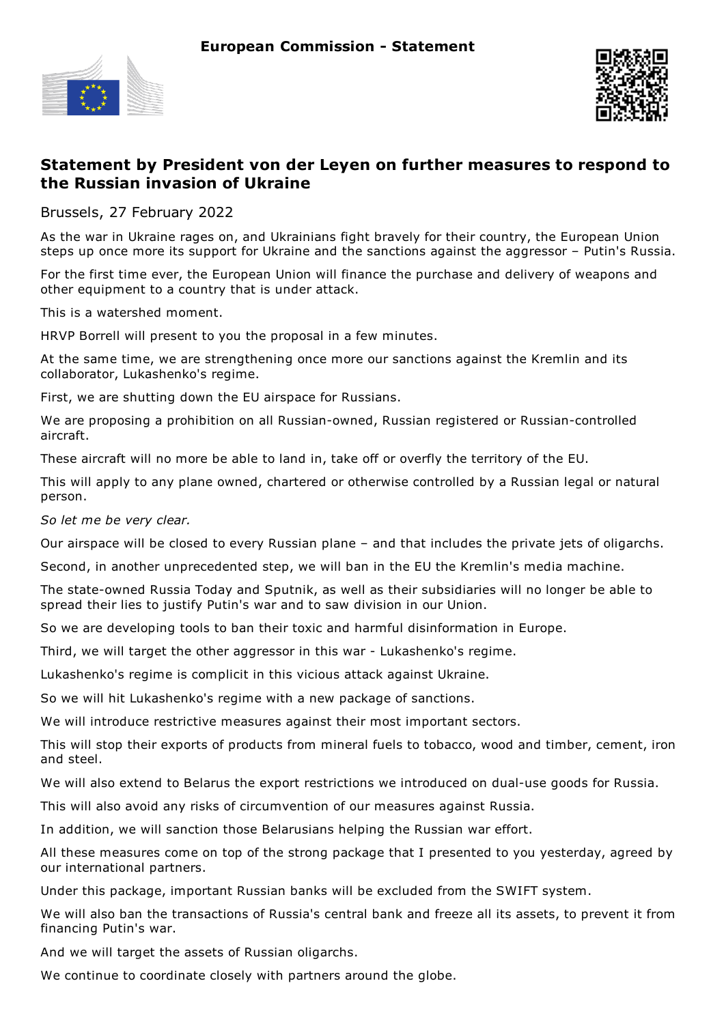



## **Statement by President von der Leyen on further measures to respond to the Russian invasion of Ukraine**

Brussels, 27 February 2022

As the war in Ukraine rages on, and Ukrainians fight bravely for their country, the European Union steps up once more its support for Ukraine and the sanctions against the aggressor – Putin's Russia.

For the first time ever, the European Union will finance the purchase and delivery of weapons and other equipment to a country that is under attack.

This is a watershed moment.

HRVP Borrell will present to you the proposal in a few minutes.

At the same time, we are strengthening once more our sanctions against the Kremlin and its collaborator, Lukashenko's regime.

First, we are shutting down the EU airspace for Russians.

We are proposing a prohibition on all Russian-owned, Russian registered or Russian-controlled aircraft.

These aircraft will no more be able to land in, take off or overfly the territory of the EU.

This will apply to any plane owned, chartered or otherwise controlled by a Russian legal or natural person.

*So let me be very clear.*

Our airspace will be closed to every Russian plane – and that includes the private jets of oligarchs.

Second, in another unprecedented step, we will ban in the EU the Kremlin's media machine.

The state-owned Russia Today and Sputnik, as well as their subsidiaries will no longer be able to spread their lies to justify Putin's war and to saw division in our Union.

So we are developing tools to ban their toxic and harmful disinformation in Europe.

Third, we will target the other aggressor in this war - Lukashenko's regime.

Lukashenko's regime is complicit in this vicious attack against Ukraine.

So we will hit Lukashenko's regime with a new package of sanctions.

We will introduce restrictive measures against their most important sectors.

This will stop their exports of products from mineral fuels to tobacco, wood and timber, cement, iron and steel.

We will also extend to Belarus the export restrictions we introduced on dual-use goods for Russia.

This will also avoid any risks of circumvention of our measures against Russia.

In addition, we will sanction those Belarusians helping the Russian war effort.

All these measures come on top of the strong package that I presented to you yesterday, agreed by our international partners.

Under this package, important Russian banks will be excluded from the SWIFT system.

We will also ban the transactions of Russia's central bank and freeze all its assets, to prevent it from financing Putin's war.

And we will target the assets of Russian oligarchs.

We continue to coordinate closely with partners around the globe.